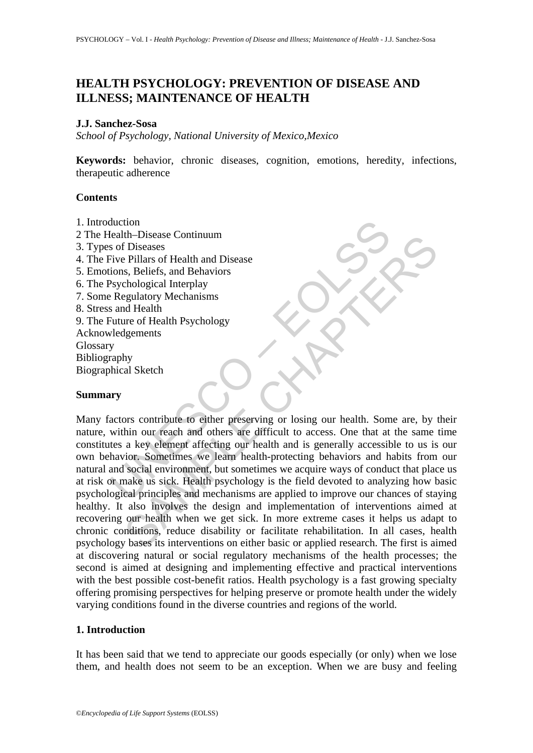# **HEALTH PSYCHOLOGY: PREVENTION OF DISEASE AND ILLNESS; MAINTENANCE OF HEALTH**

#### **J.J. Sanchez-Sosa**

*School of Psychology, National University of Mexico,Mexico* 

**Keywords:** behavior, chronic diseases, cognition, emotions, heredity, infections, therapeutic adherence

### **Contents**

- 1. Introduction
- 2 The Health–Disease Continuum
- 3. Types of Diseases
- 4. The Five Pillars of Health and Disease
- 5. Emotions, Beliefs, and Behaviors
- 6. The Psychological Interplay
- 7. Some Regulatory Mechanisms
- 8. Stress and Health

9. The Future of Health Psychology Acknowledgements Glossary Bibliography Biographical Sketch

### **Summary**

duction<br>
elath-Disease Continuum<br>
est of Diseases<br>
or Diseases<br>
sive Pillars of Health and Disease<br>
dions, Beliefs, and Behaviors<br>
Sychological Interplay<br>
Sychological Interplay<br>
Sychological Interplay<br>
y<br>
raphy<br>
y<br>
whical In-Disease<br>
The Diseases<br>
S. Beliefs, and Behaviors<br>
S. Beliefs, and Behaviors<br>
S. Beliefs, and Behaviors<br>
S. Beliefs, and Behaviors<br>
Egulatory Mechanisms<br>
gaulatory Mechanisms<br>
and Health<br>
The property going our health. S Many factors contribute to either preserving or losing our health. Some are, by their nature, within our reach and others are difficult to access. One that at the same time constitutes a key element affecting our health and is generally accessible to us is our own behavior. Sometimes we learn health-protecting behaviors and habits from our natural and social environment, but sometimes we acquire ways of conduct that place us at risk or make us sick. Health psychology is the field devoted to analyzing how basic psychological principles and mechanisms are applied to improve our chances of staying healthy. It also involves the design and implementation of interventions aimed at recovering our health when we get sick. In more extreme cases it helps us adapt to chronic conditions, reduce disability or facilitate rehabilitation. In all cases, health psychology bases its interventions on either basic or applied research. The first is aimed at discovering natural or social regulatory mechanisms of the health processes; the second is aimed at designing and implementing effective and practical interventions with the best possible cost-benefit ratios. Health psychology is a fast growing specialty offering promising perspectives for helping preserve or promote health under the widely varying conditions found in the diverse countries and regions of the world.

## **1. Introduction**

It has been said that we tend to appreciate our goods especially (or only) when we lose them, and health does not seem to be an exception. When we are busy and feeling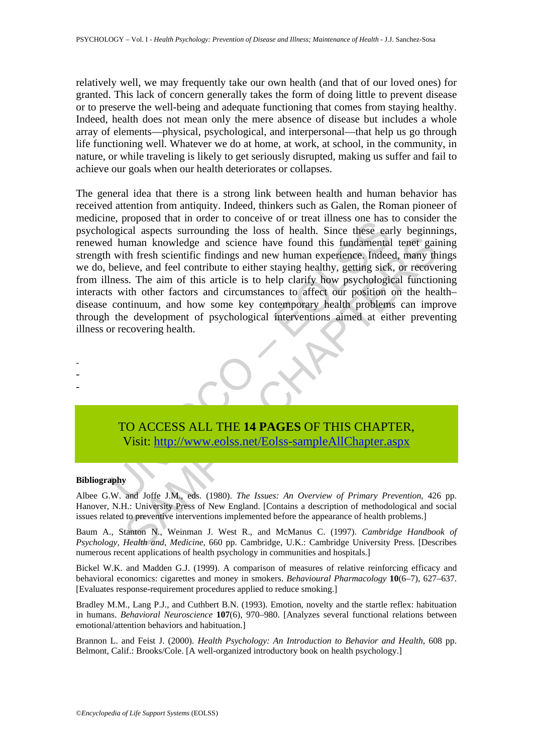relatively well, we may frequently take our own health (and that of our loved ones) for granted. This lack of concern generally takes the form of doing little to prevent disease or to preserve the well-being and adequate functioning that comes from staying healthy. Indeed, health does not mean only the mere absence of disease but includes a whole array of elements—physical, psychological, and interpersonal—that help us go through life functioning well. Whatever we do at home, at work, at school, in the community, in nature, or while traveling is likely to get seriously disrupted, making us suffer and fail to achieve our goals when our health deteriorates or collapses.

e, proposed mat moter to concerve of or teat miss one has the mass of health. Since these early durana knowledge and science have found this fundamental with fresh scientific findings and new human experience. Indee<br>believ uman knowledge and science have found this fundamental tenet gaint<br>there is the fresh scientific findings and new human experience. Indeed, many the<br>vev, and feel contribute to either staying healthy, getting sick, or reco The general idea that there is a strong link between health and human behavior has received attention from antiquity. Indeed, thinkers such as Galen, the Roman pioneer of medicine, proposed that in order to conceive of or treat illness one has to consider the psychological aspects surrounding the loss of health. Since these early beginnings, renewed human knowledge and science have found this fundamental tenet gaining strength with fresh scientific findings and new human experience. Indeed, many things we do, believe, and feel contribute to either staying healthy, getting sick, or recovering from illness. The aim of this article is to help clarify how psychological functioning interacts with other factors and circumstances to affect our position on the health– disease continuum, and how some key contemporary health problems can improve through the development of psychological interventions aimed at either preventing illness or recovering health.



#### **Bibliography**

- - -

Albee G.W. and Joffe J.M., eds. (1980). *The Issues: An Overview of Primary Prevention*, 426 pp. Hanover, N.H.: University Press of New England. [Contains a description of methodological and social issues related to preventive interventions implemented before the appearance of health problems.]

Baum A., Stanton N., Weinman J. West R., and McManus C. (1997). *Cambridge Handbook of Psychology, Health and, Medicine*, 660 pp. Cambridge, U.K.: Cambridge University Press. [Describes numerous recent applications of health psychology in communities and hospitals.]

Bickel W.K. and Madden G.J. (1999). A comparison of measures of relative reinforcing efficacy and behavioral economics: cigarettes and money in smokers. *Behavioural Pharmacology* **10**(6–7), 627–637. [Evaluates response-requirement procedures applied to reduce smoking.]

Bradley M.M., Lang P.J., and Cuthbert B.N. (1993). Emotion, novelty and the startle reflex: habituation in humans. *Behavioral Neuroscience* **107**(6), 970–980. [Analyzes several functional relations between emotional/attention behaviors and habituation.]

Brannon L. and Feist J. (2000). *Health Psychology: An Introduction to Behavior and Health*, 608 pp. Belmont, Calif.: Brooks/Cole. [A well-organized introductory book on health psychology.]